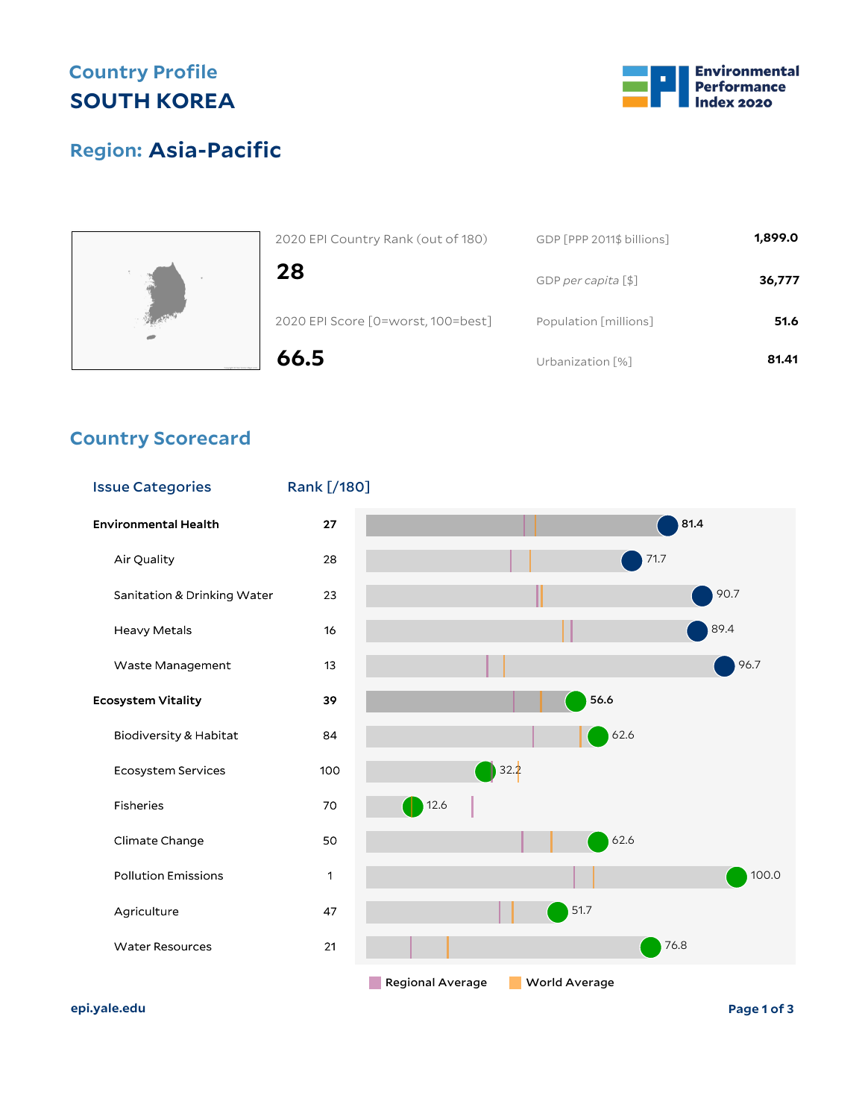## **Country Profile SOUTH KOREA**



### **Asia-Pacific Region:**



| 2020 EPI Country Rank (out of 180) | GDP [PPP 2011\$ billions] | 1,899.0 |
|------------------------------------|---------------------------|---------|
| 28                                 | GDP per capita [\$]       | 36,777  |
| 2020 EPI Score [0=worst, 100=best] | Population [millions]     | 51.6    |
| 66.5                               | Urbanization [%]          | 81.41   |

#### **Country Scorecard**

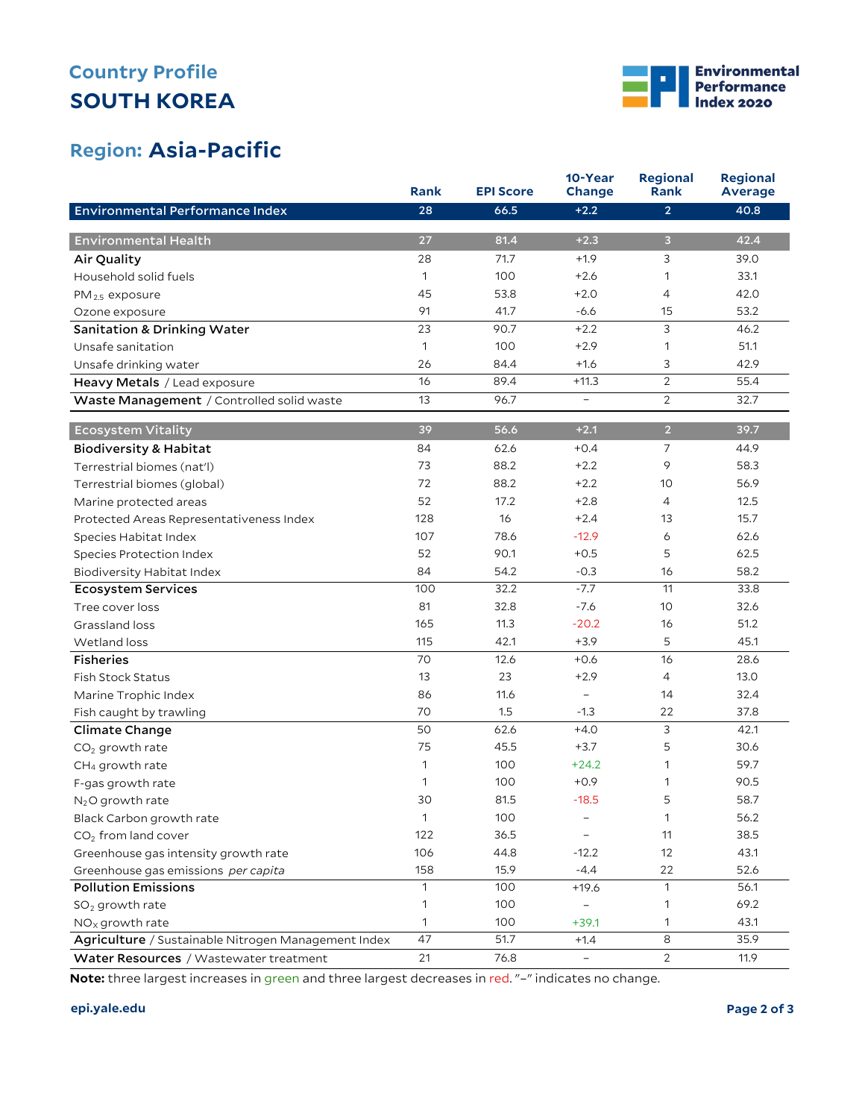# **SOUTH KOREA Country Profile**



## **Asia-Pacific Region:**

|                                                     | <b>Rank</b> | <b>EPI Score</b> | 10-Year<br><b>Change</b> | <b>Regional</b><br><b>Rank</b> | <b>Regional</b><br><b>Average</b> |
|-----------------------------------------------------|-------------|------------------|--------------------------|--------------------------------|-----------------------------------|
| <b>Environmental Performance Index</b>              | 28          | 66.5             | $+2.2$                   | $\overline{2}$                 | 40.8                              |
|                                                     |             |                  |                          |                                |                                   |
| <b>Environmental Health</b>                         | 27          | 81.4             | $+2.3$                   | 3                              | 42.4                              |
| Air Quality                                         | 28          | 71.7             | $+1.9$                   | 3                              | 39.0                              |
| Household solid fuels                               | 1           | 100              | $+2.6$                   | 1                              | 33.1                              |
| $PM_{2.5}$ exposure                                 | 45          | 53.8             | $+2.0$                   | 4                              | 42.0                              |
| Ozone exposure                                      | 91          | 41.7             | $-6.6$                   | 15                             | 53.2                              |
| <b>Sanitation &amp; Drinking Water</b>              | 23          | 90.7             | $+2.2$                   | 3                              | 46.2                              |
| Unsafe sanitation                                   | 1           | 100              | $+2.9$                   | 1                              | 51.1                              |
| Unsafe drinking water                               | 26          | 84.4             | $+1.6$                   | 3                              | 42.9                              |
| Heavy Metals / Lead exposure                        | 16          | 89.4             | $+11.3$                  | $\overline{2}$                 | 55.4                              |
| Waste Management / Controlled solid waste           | 13          | 96.7             | $\overline{\phantom{0}}$ | 2                              | 32.7                              |
| <b>Ecosystem Vitality</b>                           | 39          | 56.6             | $+2.1$                   | $\overline{2}$                 | 39.7                              |
| <b>Biodiversity &amp; Habitat</b>                   | 84          | 62.6             | $+0.4$                   | 7                              | 44.9                              |
| Terrestrial biomes (nat'l)                          | 73          | 88.2             | $+2.2$                   | 9                              | 58.3                              |
| Terrestrial biomes (global)                         | 72          | 88.2             | $+2.2$                   | 10                             | 56.9                              |
| Marine protected areas                              | 52          | 17.2             | $+2.8$                   | 4                              | 12.5                              |
| Protected Areas Representativeness Index            | 128         | 16               | $+2.4$                   | 13                             | 15.7                              |
| Species Habitat Index                               | 107         | 78.6             | $-12.9$                  | 6                              | 62.6                              |
| Species Protection Index                            | 52          | 90.1             | $+0.5$                   | 5                              | 62.5                              |
| Biodiversity Habitat Index                          | 84          | 54.2             | $-0.3$                   | 16                             | 58.2                              |
| <b>Ecosystem Services</b>                           | 100         | 32.2             | $-7.7$                   | 11                             | 33.8                              |
| Tree cover loss                                     | 81          | 32.8             | $-7.6$                   | 10                             | 32.6                              |
| Grassland loss                                      | 165         | 11.3             | $-20.2$                  | 16                             | 51.2                              |
| Wetland loss                                        | 115         | 42.1             | $+3.9$                   | 5                              | 45.1                              |
| <b>Fisheries</b>                                    | 70          | 12.6             | $+0.6$                   | 16                             | 28.6                              |
| Fish Stock Status                                   | 13          | 23               | $+2.9$                   | $\overline{4}$                 | 13.0                              |
| Marine Trophic Index                                | 86          | 11.6             | $\qquad \qquad -$        | 14                             | 32.4                              |
| Fish caught by trawling                             | 70          | 1.5              | $-1.3$                   | 22                             | 37.8                              |
| Climate Change                                      | 50          | 62.6             | $+4.0$                   | 3                              | 42.1                              |
| $CO2$ growth rate                                   | 75          | 45.5             | $+3.7$                   | 5                              | 30.6                              |
| CH <sub>4</sub> growth rate                         | 1           | 100              | $+24.2$                  | 1                              | 59.7                              |
| F-gas growth rate                                   | 1           | 100              | $+0.9$                   | 1                              | 90.5                              |
| $N2O$ growth rate                                   | 30          | 81.5             | $-18.5$                  | 5                              | 58.7                              |
| Black Carbon growth rate                            | 1           | 100              | -                        | $\mathbf{1}$                   | 56.2                              |
| CO <sub>2</sub> from land cover                     | 122         | 36.5             |                          | 11                             | 38.5                              |
| Greenhouse gas intensity growth rate                | 106         | 44.8             | $-12.2$                  | 12                             | 43.1                              |
| Greenhouse gas emissions per capita                 | 158         | 15.9             | $-4.4$                   | 22                             | 52.6                              |
| <b>Pollution Emissions</b>                          | 1           | 100              | $+19.6$                  | $\mathbf{1}$                   | 56.1                              |
| $SO2$ growth rate                                   | 1           | 100              | $\overline{\phantom{0}}$ | 1                              | 69.2                              |
| $NOx$ growth rate                                   | 1           | 100              | $+39.1$                  | 1                              | 43.1                              |
| Agriculture / Sustainable Nitrogen Management Index | 47          | 51.7             | $+1.4$                   | 8                              | 35.9                              |
| Water Resources / Wastewater treatment              | 21          | 76.8             | $\overline{\phantom{a}}$ | $\overline{2}$                 | 11.9                              |

**Note:** three largest increases in green and three largest decreases in red. "–" indicates no change.

#### **epi.yale.edu Page 2 of 3**